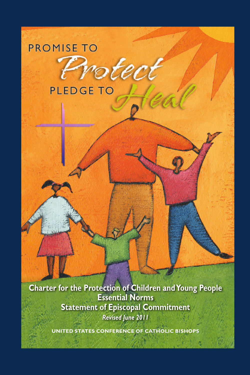## **PROMISE TO** otei

### **PLEDGE TO**

**Charter for the Protection of Children and Young People Essential Norms Statement of Episcopal Commitment** *Revised June 2011*

**UNITED STATES CONFERENCE OF CATHOLIC BISHOPS**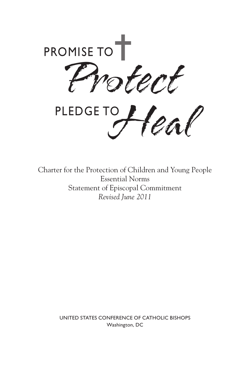

Charter for the Protection of Children and Young People Essential Norms Statement of Episcopal Commitment *Revised June 2011*

> United States Conference of Catholic Bishops Washington, DC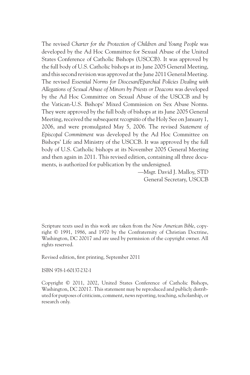The revised *Charter for the Protection of Children and Young People* was developed by the Ad Hoc Committee for Sexual Abuse of the United States Conference of Catholic Bishops (USCCB). It was approved by the full body of U.S. Catholic bishops at its June 2005 General Meeting, and this second revision was approved at the June 2011 General Meeting. The revised *Essential Norms for Diocesan/Eparchial Policies Dealing with Allegations of Sexual Abuse of Minors by Priests or Deacons* was developed by the Ad Hoc Committee on Sexual Abuse of the USCCB and by the Vatican-U.S. Bishops' Mixed Commission on Sex Abuse Norms. They were approved by the full body of bishops at its June 2005 General Meeting, received the subsequent *recognitio* of the Holy See on January 1, 2006, and were promulgated May 5, 2006. The revised *Statement of Episcopal Commitment* was developed by the Ad Hoc Committee on Bishops' Life and Ministry of the USCCB. It was approved by the full body of U.S. Catholic bishops at its November 2005 General Meeting and then again in 2011. This revised edition, containing all three documents, is authorized for publication by the undersigned.

> —Msgr. David J. Malloy, STD General Secretary, USCCB

Scripture texts used in this work are taken from the *New American Bible*, copyright © 1991, 1986, and 1970 by the Confraternity of Christian Doctrine, Washington, DC 20017 and are used by permission of the copyright owner. All rights reserved.

Revised edition, first printing, September 2011

ISBN 978-1-60137-232-1

Copyright © 2011, 2002, United States Conference of Catholic Bishops, Washington, DC 20017. This statement may be reproduced and publicly distributed for purposes of criticism, comment, news reporting, teaching, scholarship, or research only.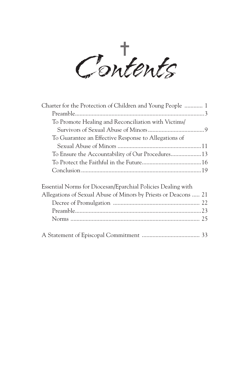✝ Contents

| Charter for the Protection of Children and Young People  1      |
|-----------------------------------------------------------------|
|                                                                 |
| To Promote Healing and Reconciliation with Victims/             |
|                                                                 |
| To Guarantee an Effective Response to Allegations of            |
|                                                                 |
| To Ensure the Accountability of Our Procedures 13               |
|                                                                 |
|                                                                 |
| Essential Norms for Diocesan/Eparchial Policies Dealing with    |
| Allegations of Sexual Abuse of Minors by Priests or Deacons  21 |
|                                                                 |
|                                                                 |
|                                                                 |
|                                                                 |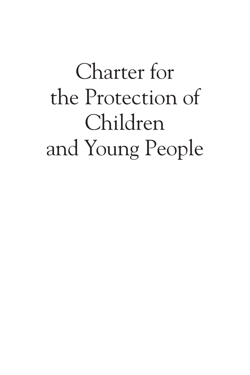# Charter for the Protection of Children and Young People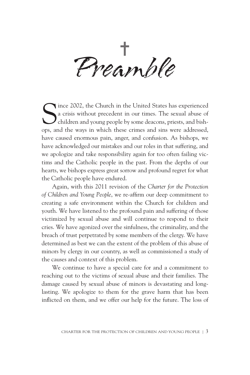✝ Preamble

Since 2002, the Church in the United States has experienced a crisis without precedent in our times. The sexual abuse of children and young people by some deacons, priests, and bishops, and the ways in which these crimes a ince 2002, the Church in the United States has experienced a crisis without precedent in our times. The sexual abuse of children and young people by some deacons, priests, and bishhave caused enormous pain, anger, and confusion. As bishops, we have acknowledged our mistakes and our roles in that suffering, and we apologize and take responsibility again for too often failing victims and the Catholic people in the past. From the depths of our hearts, we bishops express great sorrow and profound regret for what the Catholic people have endured.

Again, with this 2011 revision of the *Charter for the Protection of Children and Young People*, we re-affirm our deep commitment to creating a safe environment within the Church for children and youth. We have listened to the profound pain and suffering of those victimized by sexual abuse and will continue to respond to their cries. We have agonized over the sinfulness, the criminality, and the breach of trust perpetrated by some members of the clergy. We have determined as best we can the extent of the problem of this abuse of minors by clergy in our country, as well as commissioned a study of the causes and context of this problem.

We continue to have a special care for and a commitment to reaching out to the victims of sexual abuse and their families. The damage caused by sexual abuse of minors is devastating and longlasting. We apologize to them for the grave harm that has been inflicted on them, and we offer our help for the future. The loss of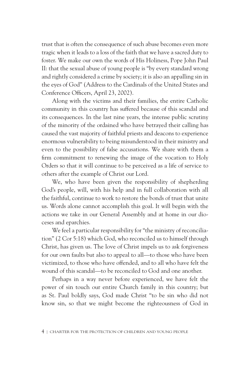trust that is often the consequence of such abuse becomes even more tragic when it leads to a loss of the faith that we have a sacred duty to foster. We make our own the words of His Holiness, Pope John Paul II: that the sexual abuse of young people is "by every standard wrong and rightly considered a crime by society; it is also an appalling sin in the eyes of God" (Address to the Cardinals of the United States and Conference Officers, April 23, 2002).

Along with the victims and their families, the entire Catholic community in this country has suffered because of this scandal and its consequences. In the last nine years, the intense public scrutiny of the minority of the ordained who have betrayed their calling has caused the vast majority of faithful priests and deacons to experience enormous vulnerability to being misunderstood in their ministry and even to the possibility of false accusations. We share with them a firm commitment to renewing the image of the vocation to Holy Orders so that it will continue to be perceived as a life of service to others after the example of Christ our Lord.

We, who have been given the responsibility of shepherding God's people, will, with his help and in full collaboration with all the faithful, continue to work to restore the bonds of trust that unite us. Words alone cannot accomplish this goal. It will begin with the actions we take in our General Assembly and at home in our dioceses and eparchies.

We feel a particular responsibility for "the ministry of reconciliation" (2 Cor 5:18) which God, who reconciled us to himself through Christ, has given us. The love of Christ impels us to ask forgiveness for our own faults but also to appeal to all—to those who have been victimized, to those who have offended, and to all who have felt the wound of this scandal—to be reconciled to God and one another.

Perhaps in a way never before experienced, we have felt the power of sin touch our entire Church family in this country; but as St. Paul boldly says, God made Christ "to be sin who did not know sin, so that we might become the righteousness of God in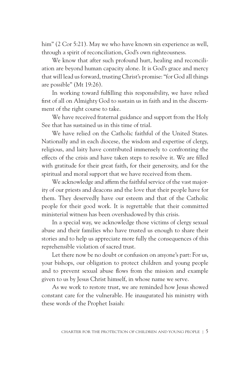him" (2 Cor 5:21). May we who have known sin experience as well, through a spirit of reconciliation, God's own righteousness.

We know that after such profound hurt, healing and reconciliation are beyond human capacity alone. It is God's grace and mercy that will lead us forward, trusting Christ's promise: "for God all things are possible" (Mt 19:26).

In working toward fulfilling this responsibility, we have relied first of all on Almighty God to sustain us in faith and in the discernment of the right course to take.

We have received fraternal guidance and support from the Holy See that has sustained us in this time of trial.

We have relied on the Catholic faithful of the United States. Nationally and in each diocese, the wisdom and expertise of clergy, religious, and laity have contributed immensely to confronting the effects of the crisis and have taken steps to resolve it. We are filled with gratitude for their great faith, for their generosity, and for the spiritual and moral support that we have received from them.

We acknowledge and affirm the faithful service of the vast majority of our priests and deacons and the love that their people have for them. They deservedly have our esteem and that of the Catholic people for their good work. It is regrettable that their committed ministerial witness has been overshadowed by this crisis.

In a special way, we acknowledge those victims of clergy sexual abuse and their families who have trusted us enough to share their stories and to help us appreciate more fully the consequences of this reprehensible violation of sacred trust.

Let there now be no doubt or confusion on anyone's part: For us, your bishops, our obligation to protect children and young people and to prevent sexual abuse flows from the mission and example given to us by Jesus Christ himself, in whose name we serve.

As we work to restore trust, we are reminded how Jesus showed constant care for the vulnerable. He inaugurated his ministry with these words of the Prophet Isaiah: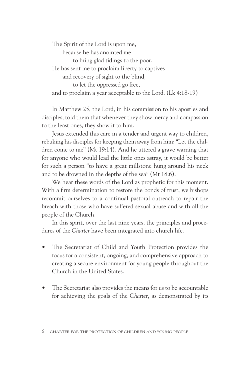The Spirit of the Lord is upon me, because he has anointed me to bring glad tidings to the poor. He has sent me to proclaim liberty to captives and recovery of sight to the blind, to let the oppressed go free, and to proclaim a year acceptable to the Lord. (Lk 4:18-19)

In Matthew 25, the Lord, in his commission to his apostles and disciples, told them that whenever they show mercy and compassion to the least ones, they show it to him.

Jesus extended this care in a tender and urgent way to children, rebuking his disciples for keeping them away from him: "Let the children come to me" (Mt 19:14). And he uttered a grave warning that for anyone who would lead the little ones astray, it would be better for such a person "to have a great millstone hung around his neck and to be drowned in the depths of the sea" (Mt 18:6).

We hear these words of the Lord as prophetic for this moment. With a firm determination to restore the bonds of trust, we bishops recommit ourselves to a continual pastoral outreach to repair the breach with those who have suffered sexual abuse and with all the people of the Church.

In this spirit, over the last nine years, the principles and procedures of the *Charter* have been integrated into church life.

- The Secretariat of Child and Youth Protection provides the focus for a consistent, ongoing, and comprehensive approach to creating a secure environment for young people throughout the Church in the United States.
- The Secretariat also provides the means for us to be accountable for achieving the goals of the *Charter*, as demonstrated by its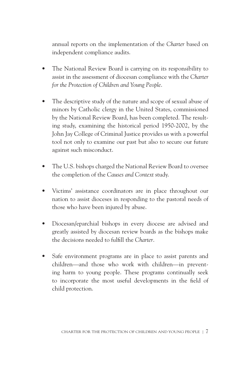annual reports on the implementation of the *Charter* based on independent compliance audits.

- The National Review Board is carrying on its responsibility to assist in the assessment of diocesan compliance with the *Charter for the Protection of Children and Young People*.
- The descriptive study of the nature and scope of sexual abuse of minors by Catholic clergy in the United States, commissioned by the National Review Board, has been completed. The resulting study, examining the historical period 1950-2002, by the John Jay College of Criminal Justice provides us with a powerful tool not only to examine our past but also to secure our future against such misconduct.
- The U.S. bishops charged the National Review Board to oversee the completion of the *Causes and Context* study.
- Victims' assistance coordinators are in place throughout our nation to assist dioceses in responding to the pastoral needs of those who have been injured by abuse.
- Diocesan/eparchial bishops in every diocese are advised and greatly assisted by diocesan review boards as the bishops make the decisions needed to fulfill the *Charter*.
- Safe environment programs are in place to assist parents and children—and those who work with children—in preventing harm to young people. These programs continually seek to incorporate the most useful developments in the field of child protection.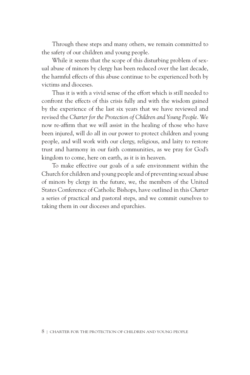Through these steps and many others, we remain committed to the safety of our children and young people.

While it seems that the scope of this disturbing problem of sexual abuse of minors by clergy has been reduced over the last decade, the harmful effects of this abuse continue to be experienced both by victims and dioceses.

Thus it is with a vivid sense of the effort which is still needed to confront the effects of this crisis fully and with the wisdom gained by the experience of the last six years that we have reviewed and revised the *Charter for the Protection of Children and Young People*. We now re-affirm that we will assist in the healing of those who have been injured, will do all in our power to protect children and young people, and will work with our clergy, religious, and laity to restore trust and harmony in our faith communities, as we pray for God's kingdom to come, here on earth, as it is in heaven.

To make effective our goals of a safe environment within the Church for children and young people and of preventing sexual abuse of minors by clergy in the future, we, the members of the United States Conference of Catholic Bishops, have outlined in this *Charter*  a series of practical and pastoral steps, and we commit ourselves to taking them in our dioceses and eparchies.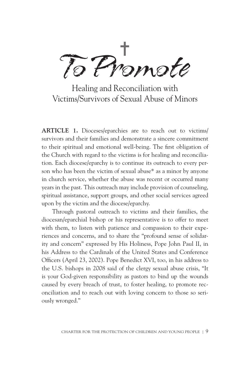✝ To Promote

Healing and Reconciliation with Victims/Survivors of Sexual Abuse of Minors

**ARTICLE 1.** Dioceses/eparchies are to reach out to victims/ survivors and their families and demonstrate a sincere commitment to their spiritual and emotional well-being. The first obligation of the Church with regard to the victims is for healing and reconciliation. Each diocese/eparchy is to continue its outreach to every person who has been the victim of sexual abuse\* as a minor by anyone in church service, whether the abuse was recent or occurred many years in the past. This outreach may include provision of counseling, spiritual assistance, support groups, and other social services agreed upon by the victim and the diocese/eparchy.

Through pastoral outreach to victims and their families, the diocesan/eparchial bishop or his representative is to offer to meet with them, to listen with patience and compassion to their experiences and concerns, and to share the "profound sense of solidarity and concern" expressed by His Holiness, Pope John Paul II, in his Address to the Cardinals of the United States and Conference Officers (April 23, 2002). Pope Benedict XVI, too, in his address to the U.S. bishops in 2008 said of the clergy sexual abuse crisis, "It is your God-given responsibility as pastors to bind up the wounds caused by every breach of trust, to foster healing, to promote reconciliation and to reach out with loving concern to those so seriously wronged."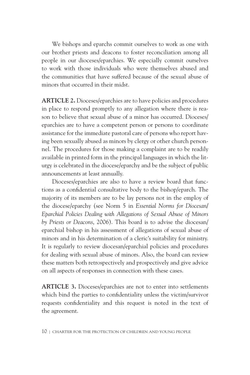We bishops and eparchs commit ourselves to work as one with our brother priests and deacons to foster reconciliation among all people in our dioceses/eparchies. We especially commit ourselves to work with those individuals who were themselves abused and the communities that have suffered because of the sexual abuse of minors that occurred in their midst.

**ARTICLE 2.** Dioceses/eparchies are to have policies and procedures in place to respond promptly to any allegation where there is reason to believe that sexual abuse of a minor has occurred. Dioceses/ eparchies are to have a competent person or persons to coordinate assistance for the immediate pastoral care of persons who report having been sexually abused as minors by clergy or other church personnel. The procedures for those making a complaint are to be readily available in printed form in the principal languages in which the liturgy is celebrated in the diocese/eparchy and be the subject of public announcements at least annually.

Dioceses/eparchies are also to have a review board that functions as a confidential consultative body to the bishop/eparch. The majority of its members are to be lay persons not in the employ of the diocese/eparchy (see Norm 5 in *Essential Norms for Diocesan/ Eparchial Policies Dealing with Allegations of Sexual Abuse of Minors by Priests or Deacons*, 2006). This board is to advise the diocesan/ eparchial bishop in his assessment of allegations of sexual abuse of minors and in his determination of a cleric's suitability for ministry. It is regularly to review diocesan/eparchial policies and procedures for dealing with sexual abuse of minors. Also, the board can review these matters both retrospectively and prospectively and give advice on all aspects of responses in connection with these cases.

**ARTICLE 3.** Dioceses/eparchies are not to enter into settlements which bind the parties to confidentiality unless the victim/survivor requests confidentiality and this request is noted in the text of the agreement.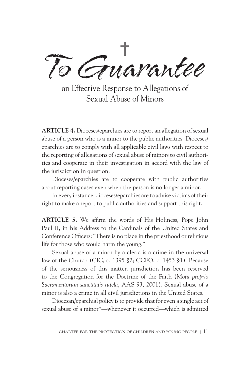✝ To Guarantee

an Effective Response to Allegations of Sexual Abuse of Minors

**ARTICLE 4.** Dioceses/eparchies are to report an allegation of sexual abuse of a person who is a minor to the public authorities. Dioceses/ eparchies are to comply with all applicable civil laws with respect to the reporting of allegations of sexual abuse of minors to civil authorities and cooperate in their investigation in accord with the law of the jurisdiction in question.

Dioceses/eparchies are to cooperate with public authorities about reporting cases even when the person is no longer a minor.

In every instance, dioceses/eparchies are to advise victims of their right to make a report to public authorities and support this right.

**ARTICLE 5.** We affirm the words of His Holiness, Pope John Paul II, in his Address to the Cardinals of the United States and Conference Officers: "There is no place in the priesthood or religious life for those who would harm the young."

Sexual abuse of a minor by a cleric is a crime in the universal law of the Church (CIC, c. 1395 §2; CCEO, c. 1453 §1). Because of the seriousness of this matter, jurisdiction has been reserved to the Congregation for the Doctrine of the Faith (*Motu proprio Sacramentorum sanctitatis tutela*, AAS 93, 2001). Sexual abuse of a minor is also a crime in all civil jurisdictions in the United States.

Diocesan/eparchial policy is to provide that for even a single act of sexual abuse of a minor\*—whenever it occurred—which is admitted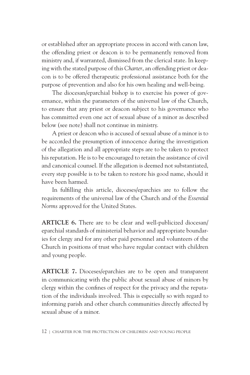or established after an appropriate process in accord with canon law, the offending priest or deacon is to be permanently removed from ministry and, if warranted, dismissed from the clerical state. In keeping with the stated purpose of this *Charter*, an offending priest or deacon is to be offered therapeutic professional assistance both for the purpose of prevention and also for his own healing and well-being.

The diocesan/eparchial bishop is to exercise his power of governance, within the parameters of the universal law of the Church, to ensure that any priest or deacon subject to his governance who has committed even one act of sexual abuse of a minor as described below (see note) shall not continue in ministry.

A priest or deacon who is accused of sexual abuse of a minor is to be accorded the presumption of innocence during the investigation of the allegation and all appropriate steps are to be taken to protect his reputation. He is to be encouraged to retain the assistance of civil and canonical counsel. If the allegation is deemed not substantiated, every step possible is to be taken to restore his good name, should it have been harmed.

In fulfilling this article, dioceses/eparchies are to follow the requirements of the universal law of the Church and of the *Essential Norms* approved for the United States.

**ARTICLE 6.** There are to be clear and well-publicized diocesan/ eparchial standards of ministerial behavior and appropriate boundaries for clergy and for any other paid personnel and volunteers of the Church in positions of trust who have regular contact with children and young people.

**ARTICLE 7.** Dioceses/eparchies are to be open and transparent in communicating with the public about sexual abuse of minors by clergy within the confines of respect for the privacy and the reputation of the individuals involved. This is especially so with regard to informing parish and other church communities directly affected by sexual abuse of a minor.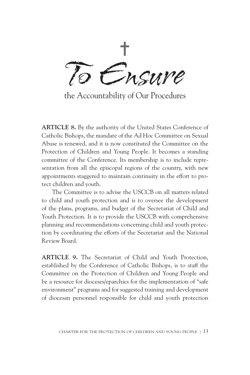✝ To Ensure

the Accountability of Our Procedures

**ARTICLE 8.** By the authority of the United States Conference of Catholic Bishops, the mandate of the Ad Hoc Committee on Sexual Abuse is renewed, and it is now constituted the Committee on the Protection of Children and Young People. It becomes a standing committee of the Conference. Its membership is to include representation from all the episcopal regions of the country, with new appointments staggered to maintain continuity in the effort to protect children and youth.

The Committee is to advise the USCCB on all matters related to child and youth protection and is to oversee the development of the plans, programs, and budget of the Secretariat of Child and Youth Protection. It is to provide the USCCB with comprehensive planning and recommendations concerning child and youth protection by coordinating the efforts of the Secretariat and the National Review Board.

**ARTICLE 9.** The Secretariat of Child and Youth Protection, established by the Conference of Catholic Bishops, is to staff the Committee on the Protection of Children and Young People and be a resource for dioceses/eparchies for the implementation of "safe environment" programs and for suggested training and development of diocesan personnel responsible for child and youth protection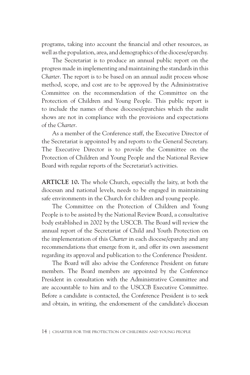programs, taking into account the financial and other resources, as well as the population, area, and demographics of the diocese/eparchy.

The Secretariat is to produce an annual public report on the progress made in implementing and maintaining the standards in this *Charter*. The report is to be based on an annual audit process whose method, scope, and cost are to be approved by the Administrative Committee on the recommendation of the Committee on the Protection of Children and Young People. This public report is to include the names of those dioceses/eparchies which the audit shows are not in compliance with the provisions and expectations of the *Charter*.

As a member of the Conference staff, the Executive Director of the Secretariat is appointed by and reports to the General Secretary. The Executive Director is to provide the Committee on the Protection of Children and Young People and the National Review Board with regular reports of the Secretariat's activities.

**ARTICLE 10.** The whole Church, especially the laity, at both the diocesan and national levels, needs to be engaged in maintaining safe environments in the Church for children and young people.

The Committee on the Protection of Children and Young People is to be assisted by the National Review Board, a consultative body established in 2002 by the USCCB. The Board will review the annual report of the Secretariat of Child and Youth Protection on the implementation of this *Charter* in each diocese/eparchy and any recommendations that emerge from it, and offer its own assessment regarding its approval and publication to the Conference President.

The Board will also advise the Conference President on future members. The Board members are appointed by the Conference President in consultation with the Administrative Committee and are accountable to him and to the USCCB Executive Committee. Before a candidate is contacted, the Conference President is to seek and obtain, in writing, the endorsement of the candidate's diocesan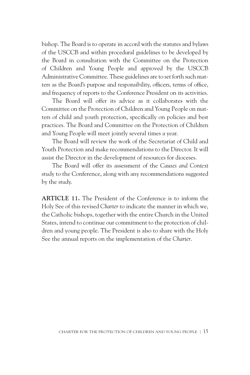bishop. The Board is to operate in accord with the statutes and bylaws of the USCCB and within procedural guidelines to be developed by the Board in consultation with the Committee on the Protection of Children and Young People and approved by the USCCB Administrative Committee. These guidelines are to set forth such matters as the Board's purpose and responsibility, officers, terms of office, and frequency of reports to the Conference President on its activities.

The Board will offer its advice as it collaborates with the Committee on the Protection of Children and Young People on matters of child and youth protection, specifically on policies and best practices. The Board and Committee on the Protection of Children and Young People will meet jointly several times a year.

The Board will review the work of the Secretariat of Child and Youth Protection and make recommendations to the Director. It will assist the Director in the development of resources for dioceses.

The Board will offer its assessment of the *Causes and Context*  study to the Conference, along with any recommendations suggested by the study.

**ARTICLE 11.** The President of the Conference is to inform the Holy See of this revised *Charter* to indicate the manner in which we, the Catholic bishops, together with the entire Church in the United States, intend to continue our commitment to the protection of children and young people. The President is also to share with the Holy See the annual reports on the implementation of the *Charter*.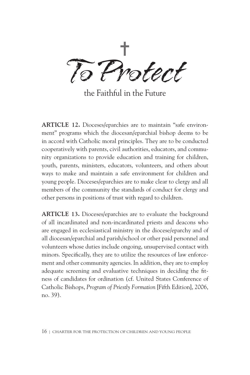✝ To Protect

the Faithful in the Future

**ARTICLE 12.** Dioceses/eparchies are to maintain "safe environment" programs which the diocesan/eparchial bishop deems to be in accord with Catholic moral principles. They are to be conducted cooperatively with parents, civil authorities, educators, and community organizations to provide education and training for children, youth, parents, ministers, educators, volunteers, and others about ways to make and maintain a safe environment for children and young people. Dioceses/eparchies are to make clear to clergy and all members of the community the standards of conduct for clergy and other persons in positions of trust with regard to children.

**ARTICLE 13.** Dioceses/eparchies are to evaluate the background of all incardinated and non-incardinated priests and deacons who are engaged in ecclesiastical ministry in the diocese/eparchy and of all diocesan/eparchial and parish/school or other paid personnel and volunteers whose duties include ongoing, unsupervised contact with minors. Specifically, they are to utilize the resources of law enforcement and other community agencies. In addition, they are to employ adequate screening and evaluative techniques in deciding the fitness of candidates for ordination (cf. United States Conference of Catholic Bishops, *Program of Priestly Formation* [Fifth Edition], 2006, no. 39).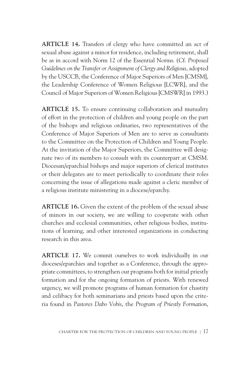**ARTICLE 14.** Transfers of clergy who have committed an act of sexual abuse against a minor for residence, including retirement, shall be as in accord with Norm 12 of the Essential Norms. (Cf. *Proposed Guidelines on the Transfer or Assignment of Clergy and Religious*, adopted by the USCCB, the Conference of Major Superiors of Men [CMSM], the Leadership Conference of Women Religious [LCWR], and the Council of Major Superiors of Women Religious [CMSWR] in 1993.)

**ARTICLE 15.** To ensure continuing collaboration and mutuality of effort in the protection of children and young people on the part of the bishops and religious ordinaries, two representatives of the Conference of Major Superiors of Men are to serve as consultants to the Committee on the Protection of Children and Young People. At the invitation of the Major Superiors, the Committee will designate two of its members to consult with its counterpart at CMSM. Diocesan/eparchial bishops and major superiors of clerical institutes or their delegates are to meet periodically to coordinate their roles concerning the issue of allegations made against a cleric member of a religious institute ministering in a diocese/eparchy.

**ARTICLE 16.** Given the extent of the problem of the sexual abuse of minors in our society, we are willing to cooperate with other churches and ecclesial communities, other religious bodies, institutions of learning, and other interested organizations in conducting research in this area.

**ARTICLE 17.** We commit ourselves to work individually in our dioceses/eparchies and together as a Conference, through the appropriate committees, to strengthen our programs both for initial priestly formation and for the ongoing formation of priests. With renewed urgency, we will promote programs of human formation for chastity and celibacy for both seminarians and priests based upon the criteria found in *Pastores Dabo Vobis*, the *Program of Priestly Formation*,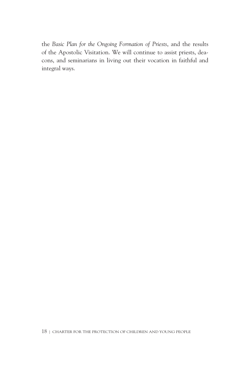the *Basic Plan for the Ongoing Formation of Priests*, and the results of the Apostolic Visitation. We will continue to assist priests, deacons, and seminarians in living out their vocation in faithful and integral ways.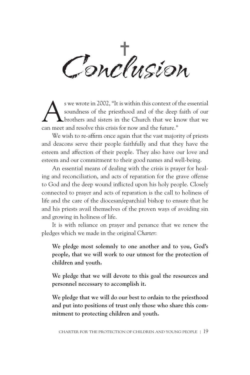✝ Conclusion

S we wrote in 2002, "It is within this context of the essential<br>soundness of the priesthood and of the deep faith of our<br>brothers and sisters in the Church that we know that we<br>see mest and resolve this gritis for now and soundness of the priesthood and of the deep faith of our brothers and sisters in the Church that we know that we can meet and resolve this crisis for now and the future."

We wish to re-affirm once again that the vast majority of priests and deacons serve their people faithfully and that they have the esteem and affection of their people. They also have our love and esteem and our commitment to their good names and well-being.

An essential means of dealing with the crisis is prayer for healing and reconciliation, and acts of reparation for the grave offense to God and the deep wound inflicted upon his holy people. Closely connected to prayer and acts of reparation is the call to holiness of life and the care of the diocesan/eparchial bishop to ensure that he and his priests avail themselves of the proven ways of avoiding sin and growing in holiness of life.

It is with reliance on prayer and penance that we renew the pledges which we made in the original *Charter*:

**We pledge most solemnly to one another and to you, God's people, that we will work to our utmost for the protection of children and youth.** 

**We pledge that we will devote to this goal the resources and personnel necessary to accomplish it.** 

**We pledge that we will do our best to ordain to the priesthood and put into positions of trust only those who share this commitment to protecting children and youth.**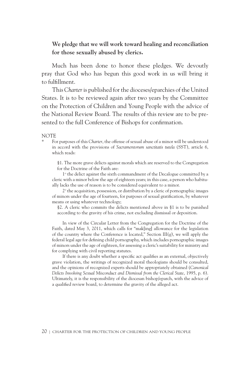#### **We pledge that we will work toward healing and reconciliation for those sexually abused by clerics.**

Much has been done to honor these pledges. We devoutly pray that God who has begun this good work in us will bring it to fulfillment.

This *Charter* is published for the dioceses/eparchies of the United States. It is to be reviewed again after two years by the Committee on the Protection of Children and Young People with the advice of the National Review Board. The results of this review are to be presented to the full Conference of Bishops for confirmation.

#### NOTE

\* For purposes of this *Charter*, the offense of sexual abuse of a minor will be understood in accord with the provisions of *Sacramentorum sanctitatis tutela* (SST), article 6, which reads:

§1. The more grave delicts against morals which are reserved to the Congregation for the Doctrine of the Faith are:

1<sup>°</sup> the delict against the sixth commandment of the Decalogue committed by a cleric with a minor below the age of eighteen years; in this case, a person who habitually lacks the use of reason is to be considered equivalent to a minor.

2<sup>°</sup> the acquisition, possession, or distribution by a cleric of pornographic images of minors under the age of fourteen, for purposes of sexual gratification, by whatever means or using whatever technology;

§2. A cleric who commits the delicts mentioned above in §1 is to be punished according to the gravity of his crime, not excluding dismissal or deposition.

 In view of the Circular Letter from the Congregation for the Doctrine of the Faith, dated May 3, 2011, which calls for "mak[ing] allowance for the legislation of the country where the Conference is located," Section III(g), we will apply the federal legal age for defining child pornography, which includes pornographic images of minors under the age of eighteen, for assessing a cleric's suitability for ministry and for complying with civil reporting statutes.

 If there is any doubt whether a specific act qualifies as an external, objectively grave violation, the writings of recognized moral theologians should be consulted, and the opinions of recognized experts should be appropriately obtained (*Canonical Delicts Involving Sexual Misconduct and Dismissal from the Clerical State*, 1995, p. 6). Ultimately, it is the responsibility of the diocesan bishop/eparch, with the advice of a qualified review board, to determine the gravity of the alleged act.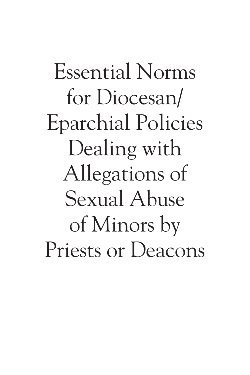Essential Norms for Diocesan/ Eparchial Policies Dealing with Allegations of Sexual Abuse of Minors by Priests or Deacons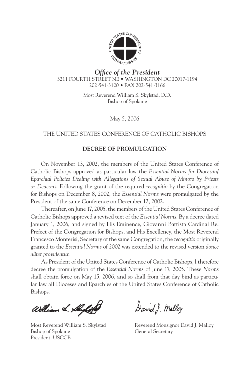

*Office of the President* 3211 FOURTH STREET NE • WASHINGTON DC 20017-1194 202-541-3100 • FAX 202-541-3166

> Most Reverend William S. Skylstad, D.D. Bishop of Spokane

> > May 5, 2006

#### THE UNITED STATES CONFERENCE OF CATHOLIC BISHOPS

#### **DECREE OF PROMULGATION**

On November 13, 2002, the members of the United States Conference of Catholic Bishops approved as particular law the *Essential Norms for Diocesan/ Eparchial Policies Dealing with Allegations of Sexual Abuse of Minors by Priests or Deacons*. Following the grant of the required *recognitio* by the Congregation for Bishops on December 8, 2002, the *Essential Norms* were promulgated by the President of the same Conference on December 12, 2002.

Thereafter, on June 17, 2005, the members of the United States Conference of Catholic Bishops approved a revised text of the *Essential Norms*. By a decree dated January 1, 2006, and signed by His Eminence, Giovanni Battista Cardinal Re, Prefect of the Congregation for Bishops, and His Excellency, the Most Reverend Francesco Monterisi, Secretary of the same Congregation, the *recognitio* originally granted to the *Essential Norms* of 2002 was extended to the revised version *donec aliter provideatur*.

As President of the United States Conference of Catholic Bishops, I therefore decree the promulgation of the *Essential Norms* of June 17, 2005. These *Norms* shall obtain force on May 15, 2006, and so shall from that day bind as particular law all Dioceses and Eparchies of the United States Conference of Catholic Bishops.

William & Alyfet

Bishop of Spokane General Secretary President, USCCB

David J. Malloy

Most Reverend William S. Skylstad Reverend Monsignor David J. Malloy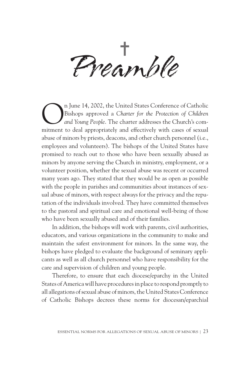✝ Preamble

The United States Conference of Catholic<br>Bishops approved a Charter for the Protection of Children<br>and Young People. The charter addresses the Church's com-Bishops approved a *Charter for the Protection of Children and Young People*. The charter addresses the Church's commitment to deal appropriately and effectively with cases of sexual abuse of minors by priests, deacons, and other church personnel (i.e., employees and volunteers). The bishops of the United States have promised to reach out to those who have been sexually abused as minors by anyone serving the Church in ministry, employment, or a volunteer position, whether the sexual abuse was recent or occurred many years ago. They stated that they would be as open as possible with the people in parishes and communities about instances of sexual abuse of minors, with respect always for the privacy and the reputation of the individuals involved. They have committed themselves to the pastoral and spiritual care and emotional well-being of those who have been sexually abused and of their families.

In addition, the bishops will work with parents, civil authorities, educators, and various organizations in the community to make and maintain the safest environment for minors. In the same way, the bishops have pledged to evaluate the background of seminary applicants as well as all church personnel who have responsibility for the care and supervision of children and young people.

Therefore, to ensure that each diocese/eparchy in the United States of America will have procedures in place to respond promptly to all allegations of sexual abuse of minors, the United States Conference of Catholic Bishops decrees these norms for diocesan/eparchial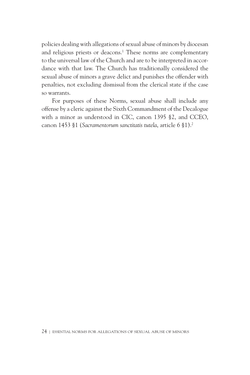policies dealing with allegations of sexual abuse of minors by diocesan and religious priests or deacons.<sup>1</sup> These norms are complementary to the universal law of the Church and are to be interpreted in accordance with that law. The Church has traditionally considered the sexual abuse of minors a grave delict and punishes the offender with penalties, not excluding dismissal from the clerical state if the case so warrants.

For purposes of these Norms, sexual abuse shall include any offense by a cleric against the Sixth Commandment of the Decalogue with a minor as understood in CIC, canon 1395 §2, and CCEO, canon 1453 §1 (*Sacramentorum sanctitatis tutela*, article 6 §1).2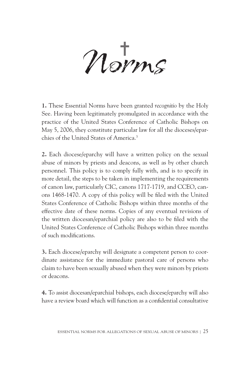✝ Norms

**1.** These Essential Norms have been granted *recognitio* by the Holy See. Having been legitimately promulgated in accordance with the practice of the United States Conference of Catholic Bishops on May 5, 2006, they constitute particular law for all the dioceses/eparchies of the United States of America.3

**2.** Each diocese/eparchy will have a written policy on the sexual abuse of minors by priests and deacons, as well as by other church personnel. This policy is to comply fully with, and is to specify in more detail, the steps to be taken in implementing the requirements of canon law, particularly CIC, canons 1717-1719, and CCEO, canons 1468-1470. A copy of this policy will be filed with the United States Conference of Catholic Bishops within three months of the effective date of these norms. Copies of any eventual revisions of the written diocesan/eparchial policy are also to be filed with the United States Conference of Catholic Bishops within three months of such modifications.

**3.** Each diocese/eparchy will designate a competent person to coordinate assistance for the immediate pastoral care of persons who claim to have been sexually abused when they were minors by priests or deacons.

**4.** To assist diocesan/eparchial bishops, each diocese/eparchy will also have a review board which will function as a confidential consultative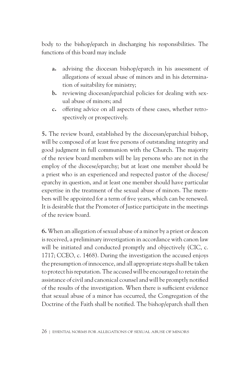body to the bishop/eparch in discharging his responsibilities. The functions of this board may include

- **a.** advising the diocesan bishop/eparch in his assessment of allegations of sexual abuse of minors and in his determination of suitability for ministry;
- **b.** reviewing diocesan/eparchial policies for dealing with sexual abuse of minors; and
- **c.** offering advice on all aspects of these cases, whether retrospectively or prospectively.

**5.** The review board, established by the diocesan/eparchial bishop, will be composed of at least five persons of outstanding integrity and good judgment in full communion with the Church. The majority of the review board members will be lay persons who are not in the employ of the diocese/eparchy; but at least one member should be a priest who is an experienced and respected pastor of the diocese/ eparchy in question, and at least one member should have particular expertise in the treatment of the sexual abuse of minors. The members will be appointed for a term of five years, which can be renewed. It is desirable that the Promoter of Justice participate in the meetings of the review board.

**6.** When an allegation of sexual abuse of a minor by a priest or deacon is received, a preliminary investigation in accordance with canon law will be initiated and conducted promptly and objectively (CIC, c. 1717; CCEO, c. 1468). During the investigation the accused enjoys the presumption of innocence, and all appropriate steps shall be taken to protect his reputation. The accused will be encouraged to retain the assistance of civil and canonical counsel and will be promptly notified of the results of the investigation. When there is sufficient evidence that sexual abuse of a minor has occurred, the Congregation of the Doctrine of the Faith shall be notified. The bishop/eparch shall then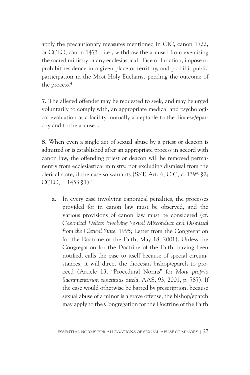apply the precautionary measures mentioned in CIC, canon 1722, or CCEO, canon 1473—i.e*.*, withdraw the accused from exercising the sacred ministry or any ecclesiastical office or function, impose or prohibit residence in a given place or territory, and prohibit public participation in the Most Holy Eucharist pending the outcome of the process.4

**7.** The alleged offender may be requested to seek, and may be urged voluntarily to comply with, an appropriate medical and psychological evaluation at a facility mutually acceptable to the diocese/eparchy and to the accused.

**8.** When even a single act of sexual abuse by a priest or deacon is admitted or is established after an appropriate process in accord with canon law, the offending priest or deacon will be removed permanently from ecclesiastical ministry, not excluding dismissal from the clerical state, if the case so warrants (SST, Art. 6; CIC, c. 1395 §2; CCEO, c. 1453 §1).<sup>5</sup>

**a.** In every case involving canonical penalties, the processes provided for in canon law must be observed, and the various provisions of canon law must be considered (cf. *Canonical Delicts Involving Sexual Misconduct and Dismissal from the Clerical State*, 1995; Letter from the Congregation for the Doctrine of the Faith, May 18, 2001). Unless the Congregation for the Doctrine of the Faith, having been notified, calls the case to itself because of special circumstances, it will direct the diocesan bishop/eparch to proceed (Article 13, "Procedural Norms" for *Motu proprio Sacramentorum sanctitatis tutela*, AAS, 93, 2001, p. 787). If the case would otherwise be barred by prescription, because sexual abuse of a minor is a grave offense, the bishop/eparch may apply to the Congregation for the Doctrine of the Faith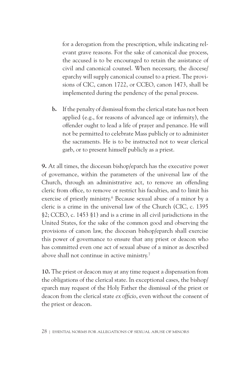for a derogation from the prescription, while indicating relevant grave reasons. For the sake of canonical due process, the accused is to be encouraged to retain the assistance of civil and canonical counsel. When necessary, the diocese/ eparchy will supply canonical counsel to a priest. The provisions of CIC, canon 1722, or CCEO, canon 1473, shall be implemented during the pendency of the penal process.

**b.** If the penalty of dismissal from the clerical state has not been applied (e.g., for reasons of advanced age or infirmity), the offender ought to lead a life of prayer and penance. He will not be permitted to celebrate Mass publicly or to administer the sacraments. He is to be instructed not to wear clerical garb, or to present himself publicly as a priest.

**9.** At all times, the diocesan bishop/eparch has the executive power of governance, within the parameters of the universal law of the Church, through an administrative act, to remove an offending cleric from office, to remove or restrict his faculties, and to limit his exercise of priestly ministry.<sup>6</sup> Because sexual abuse of a minor by a cleric is a crime in the universal law of the Church (CIC, c. 1395 §2; CCEO, c. 1453 §1) and is a crime in all civil jurisdictions in the United States, for the sake of the common good and observing the provisions of canon law, the diocesan bishop/eparch shall exercise this power of governance to ensure that any priest or deacon who has committed even one act of sexual abuse of a minor as described above shall not continue in active ministry.<sup>7</sup>

**10.** The priest or deacon may at any time request a dispensation from the obligations of the clerical state. In exceptional cases, the bishop/ eparch may request of the Holy Father the dismissal of the priest or deacon from the clerical state *ex officio*, even without the consent of the priest or deacon.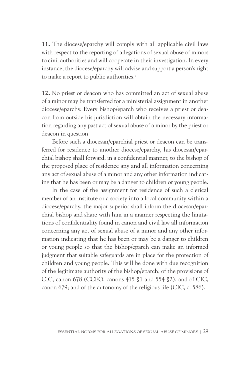**11.** The diocese/eparchy will comply with all applicable civil laws with respect to the reporting of allegations of sexual abuse of minors to civil authorities and will cooperate in their investigation. In every instance, the diocese/eparchy will advise and support a person's right to make a report to public authorities.<sup>8</sup>

**12.** No priest or deacon who has committed an act of sexual abuse of a minor may be transferred for a ministerial assignment in another diocese/eparchy. Every bishop/eparch who receives a priest or deacon from outside his jurisdiction will obtain the necessary information regarding any past act of sexual abuse of a minor by the priest or deacon in question.

Before such a diocesan/eparchial priest or deacon can be transferred for residence to another diocese/eparchy, his diocesan/eparchial bishop shall forward, in a confidential manner, to the bishop of the proposed place of residence any and all information concerning any act of sexual abuse of a minor and any other information indicating that he has been or may be a danger to children or young people.

In the case of the assignment for residence of such a clerical member of an institute or a society into a local community within a diocese/eparchy, the major superior shall inform the diocesan/eparchial bishop and share with him in a manner respecting the limitations of confidentiality found in canon and civil law all information concerning any act of sexual abuse of a minor and any other information indicating that he has been or may be a danger to children or young people so that the bishop/eparch can make an informed judgment that suitable safeguards are in place for the protection of children and young people. This will be done with due recognition of the legitimate authority of the bishop/eparch; of the provisions of CIC, canon 678 (CCEO, canons 415 §1 and 554 §2), and of CIC, canon 679; and of the autonomy of the religious life (CIC, c. 586).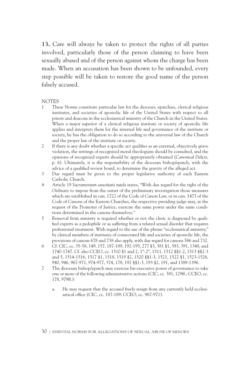**13.** Care will always be taken to protect the rights of all parties involved, particularly those of the person claiming to have been sexually abused and of the person against whom the charge has been made. When an accusation has been shown to be unfounded, every step possible will be taken to restore the good name of the person falsely accused.

#### **NOTES**

- 1 These Norms constitute particular law for the dioceses, eparchies, clerical religious institutes, and societies of apostolic life of the United States with respect to all priests and deacons in the ecclesiastical ministry of the Church in the United States. When a major superior of a clerical religious institute or society of apostolic life applies and interprets them for the internal life and governance of the institute or society, he has the obligation to do so according to the universal law of the Church and the proper law of the institute or society.
- 2 If there is any doubt whether a specific act qualifies as an external, objectively grave violation, the writings of recognized moral theologians should be consulted, and the opinions of recognized experts should be appropriately obtained (*Canonical Delicts*, p. 6). Ultimately, it is the responsibility of the diocesan bishop/eparch, with the advice of a qualified review board, to determine the gravity of the alleged act.
- 3 Due regard must be given to the proper legislative authority of each Eastern Catholic Church.
- 4 Article 19 *Sacramentum sanctitatis tutela* states, "With due regard for the right of the Ordinary to impose from the outset of the preliminary investigation those measures which are established in can. 1722 of the Code of Canon Law, or in can. 1473 of the Code of Canons of the Eastern Churches, the respective presiding judge may, at the request of the Promoter of Justice, exercise the same power under the same conditions determined in the canons themselves."
- 5 Removal from ministry is required whether or not the cleric is diagnosed by qualified experts as a pedophile or as suffering from a related sexual disorder that requires professional treatment. With regard to the use of the phrase "ecclesiastical ministry," by clerical members of institutes of consecrated life and societies of apostolic life, the provisions of canons 678 and 738 also apply, with due regard for canons 586 and 732.
- 6 Cf. CIC, cc. 35-58, 149, 157, 187-189, 192-195, 277 §3, 381 §1, 383, 391, 1348, and 1740-1747. Cf. also CCEO, cc. 1510 §1 and 2, 1°-2°, 1511, 1512 §§1-2, 1513 §§2-3 and 5, 1514-1516, 1517 §1, 1518, 1519 §2, 1520 §§1-3, 1521, 1522 §1, 1523-1526, 940, 946, 967-971, 974-977, 374, 178, 192 §§1-3, 193 §2, 191, and 1389-1396.
- 7 The diocesan bishop/eparch may exercise his executive power of governance to take one or more of the following administrative actions (CIC, cc. 381, 129ff.; CCEO, cc. 178, 979ff.):
	- a. He may request that the accused freely resign from any currently held ecclesiastical office (CIC, cc. 187-189; CCEO, cc. 967-971).

30 | ESSENTIAL Norms for allegations of sexual abuse of minors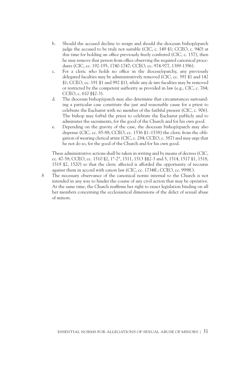- b. Should the accused decline to resign and should the diocesan bishop/eparch judge the accused to be truly not suitable (CIC, c. 149 §1; CCEO, c. 940) at this time for holding an office previously freely conferred (CIC, c. 157), then he may remove that person from office observing the required canonical procedures (CIC, cc. 192-195, 1740-1747; CCEO, cc. 974-977, 1389-1396).
- c. For a cleric who holds no office in the diocese/eparchy, any previously delegated faculties may be administratively removed (CIC, cc. 391 §1 and 142 §1; CCEO, cc. 191 §1 and 992 §1), while any *de iure* faculties may be removed or restricted by the competent authority as provided in law (e.g., CIC, c. 764; CCEO, c. 610 §§2-3).
- d. The diocesan bishop/eparch may also determine that circumstances surrounding a particular case constitute the just and reasonable cause for a priest to celebrate the Eucharist with no member of the faithful present (CIC, c. 906). The bishop may forbid the priest to celebrate the Eucharist publicly and to administer the sacraments, for the good of the Church and for his own good.
- e. Depending on the gravity of the case, the diocesan bishop/eparch may also dispense (CIC, cc. 85-88; CCEO, cc. 1536 §1–1538) the cleric from the obligation of wearing clerical attire (CIC, c. 284; CCEO, c. 387) and may urge that he not do so, for the good of the Church and for his own good.

These administrative actions shall be taken in writing and by means of decrees (CIC, cc. 47-58; CCEO, cc. 1510 §2, 1°-2°, 1511, 1513 §§2-3 and 5, 1514, 1517 §1, 1518, 1519 §2, 1520) so that the cleric affected is afforded the opportunity of recourse against them in accord with canon law (CIC, cc. 1734ff.; CCEO, cc. 999ff.).

8 The necessary observance of the canonical norms internal to the Church is not intended in any way to hinder the course of any civil action that may be operative. At the same time, the Church reaffirms her right to enact legislation binding on all her members concerning the ecclesiastical dimensions of the delict of sexual abuse of minors.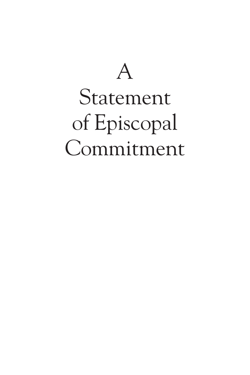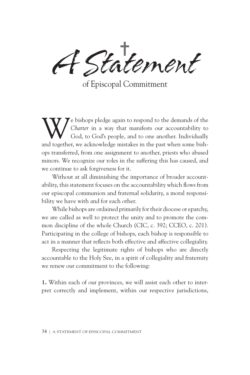✝ A Statement

of Episcopal Commitment

We bishops pledge again to respond to the demands of the Charter in a way that manifests our accountability to God, to God's people, and to one another. Individually *Charter* in a way that manifests our accountability to God, to God's people, and to one another. Individually and together, we acknowledge mistakes in the past when some bishops transferred, from one assignment to another, priests who abused minors. We recognize our roles in the suffering this has caused, and we continue to ask forgiveness for it.

Without at all diminishing the importance of broader accountability, this statement focuses on the accountability which flows from our episcopal communion and fraternal solidarity, a moral responsibility we have with and for each other.

While bishops are ordained primarily for their diocese or eparchy, we are called as well to protect the unity and to promote the common discipline of the whole Church (CIC, c. 392; CCEO, c. 201). Participating in the college of bishops, each bishop is responsible to act in a manner that reflects both effective and affective collegiality.

Respecting the legitimate rights of bishops who are directly accountable to the Holy See, in a spirit of collegiality and fraternity we renew our commitment to the following:

**1.** Within each of our provinces, we will assist each other to interpret correctly and implement, within our respective jurisdictions,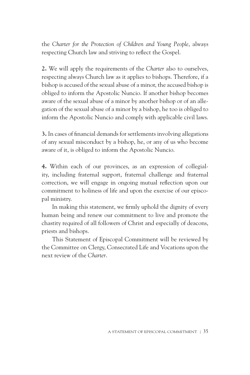the *Charter for the Protection of Children and Young People*, always respecting Church law and striving to reflect the Gospel.

**2.** We will apply the requirements of the *Charter* also to ourselves, respecting always Church law as it applies to bishops. Therefore, if a bishop is accused of the sexual abuse of a minor, the accused bishop is obliged to inform the Apostolic Nuncio. If another bishop becomes aware of the sexual abuse of a minor by another bishop or of an allegation of the sexual abuse of a minor by a bishop, he too is obliged to inform the Apostolic Nuncio and comply with applicable civil laws.

**3.** In cases of financial demands for settlements involving allegations of any sexual misconduct by a bishop, he, or any of us who become aware of it, is obliged to inform the Apostolic Nuncio.

**4.** Within each of our provinces, as an expression of collegiality, including fraternal support, fraternal challenge and fraternal correction, we will engage in ongoing mutual reflection upon our commitment to holiness of life and upon the exercise of our episcopal ministry.

In making this statement, we firmly uphold the dignity of every human being and renew our commitment to live and promote the chastity required of all followers of Christ and especially of deacons, priests and bishops.

This Statement of Episcopal Commitment will be reviewed by the Committee on Clergy, Consecrated Life and Vocations upon the next review of the *Charter*.